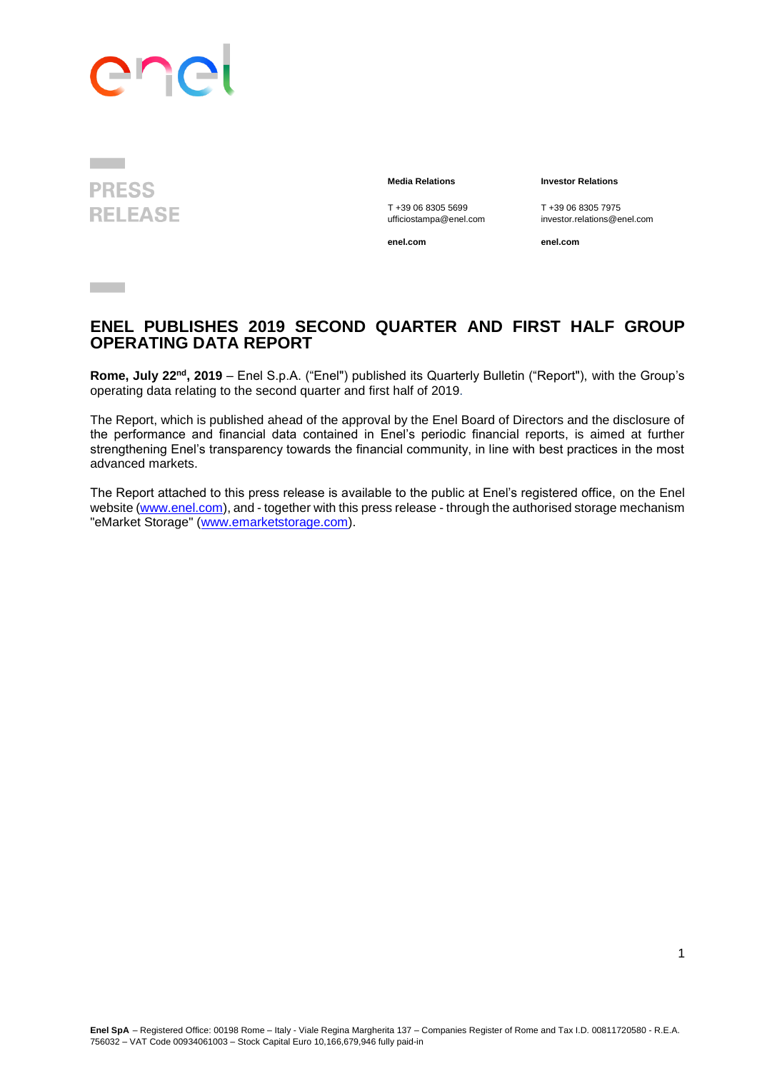# enc

**PRESS RELEASE** 

**Contract** 

**Media Relations Investor Relations**

T +39 06 8305 5699 T +39 06 8305 7975<br>ufficiostampa@enel.com investor.relations@e

**enel.com enel.com**

investor.relations@enel.com

**ENEL PUBLISHES 2019 SECOND QUARTER AND FIRST HALF GROUP OPERATING DATA REPORT**

**Rome, July 22<sup>nd</sup>, 2019** – Enel S.p.A. ("Enel") published its Quarterly Bulletin ("Report"), with the Group's operating data relating to the second quarter and first half of 2019.

The Report, which is published ahead of the approval by the Enel Board of Directors and the disclosure of the performance and financial data contained in Enel's periodic financial reports, is aimed at further strengthening Enel's transparency towards the financial community, in line with best practices in the most advanced markets.

The Report attached to this press release is available to the public at Enel's registered office, on the Enel website [\(www.enel.com\)](http://www.enel.com/), and - together with this press release - through the authorised storage mechanism "eMarket Storage" [\(www.emarketstorage.com\)](http://www.emarketstorage.com/).

1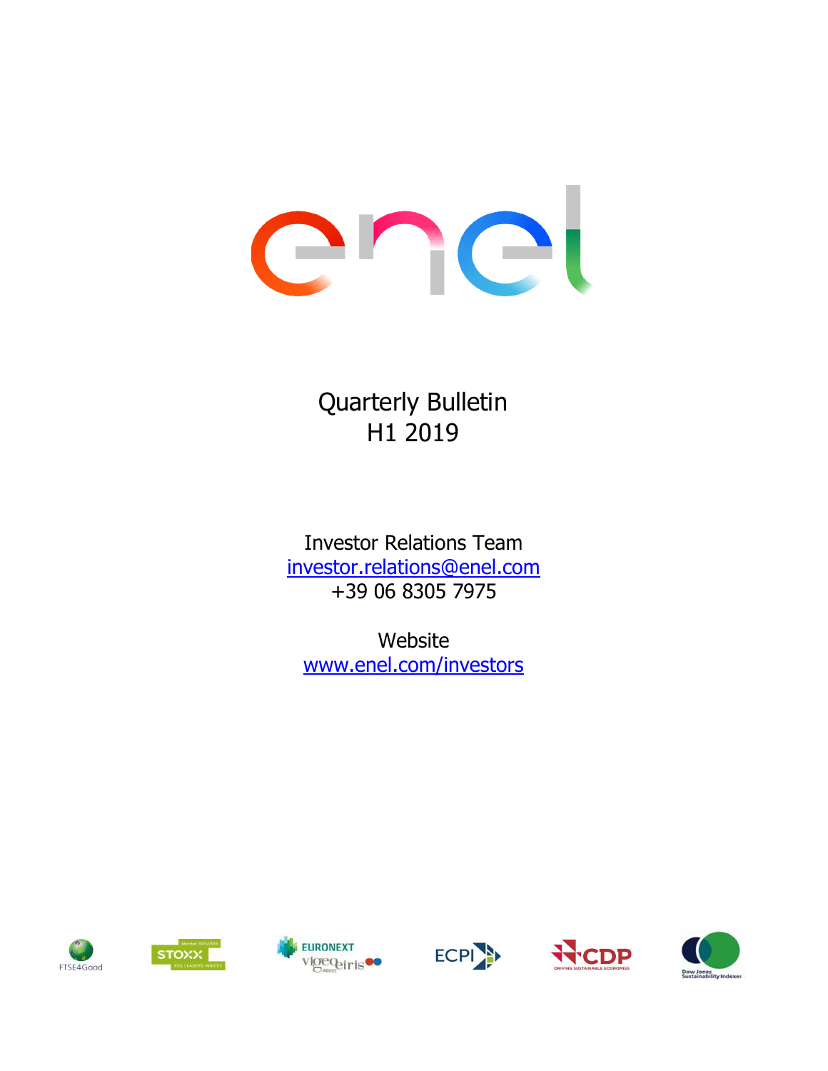# enel

Quarterly Bulletin H1 2019

Investor Relations Team investor.relations@enel.com +39 06 8305 7975

www.enel.com/investors Website











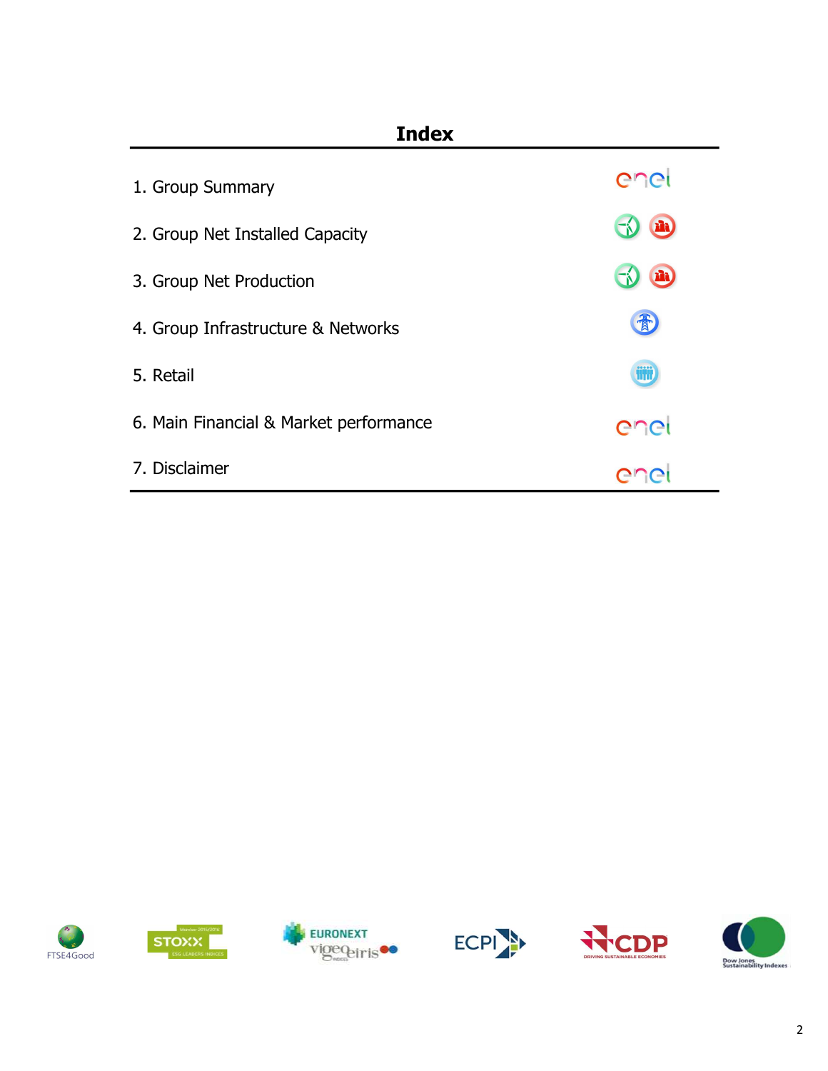# Index

| 1. Group Summary                       | enei      |
|----------------------------------------|-----------|
| 2. Group Net Installed Capacity        | m         |
| 3. Group Net Production                | <b>ED</b> |
| 4. Group Infrastructure & Networks     | 青         |
| 5. Retail                              | iiji      |
| 6. Main Financial & Market performance | enei      |
| 7. Disclaimer                          |           |











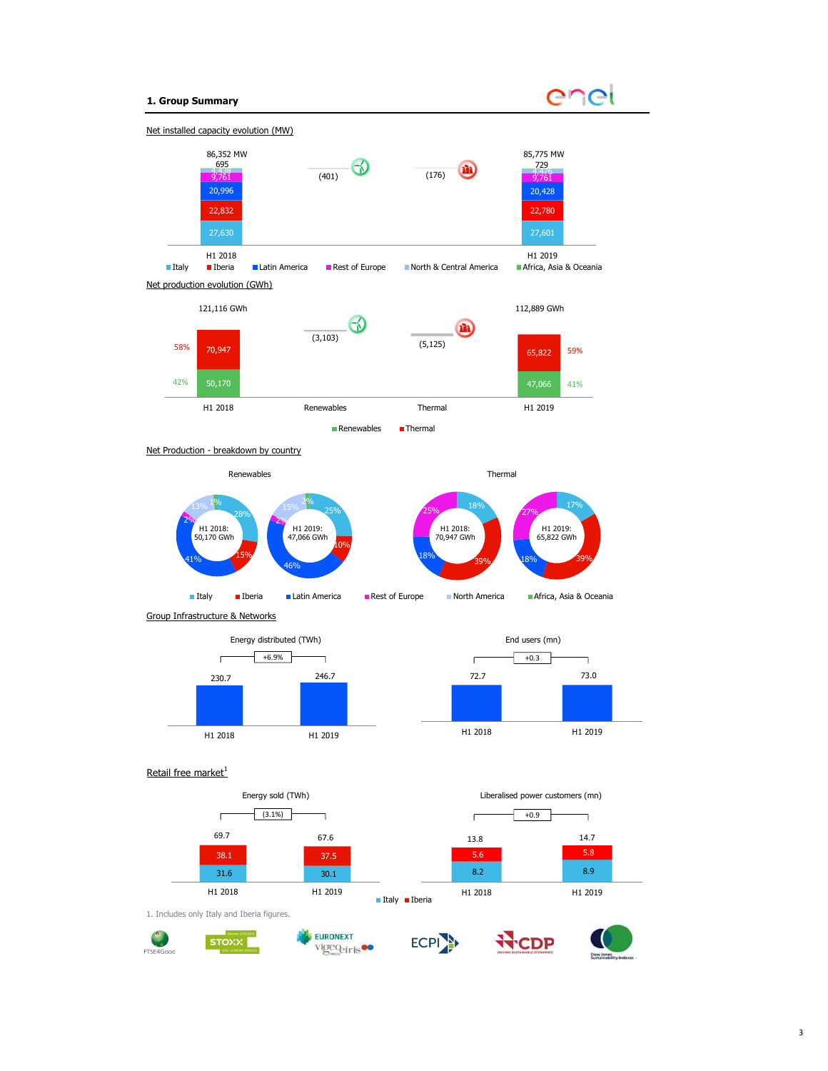## 1. Group Summary





Net Production - breakdown by country



Group Infrastructure & Networks

![](_page_3_Figure_6.jpeg)

![](_page_3_Figure_7.jpeg)

#### Retail free market $1$

![](_page_3_Figure_9.jpeg)

41%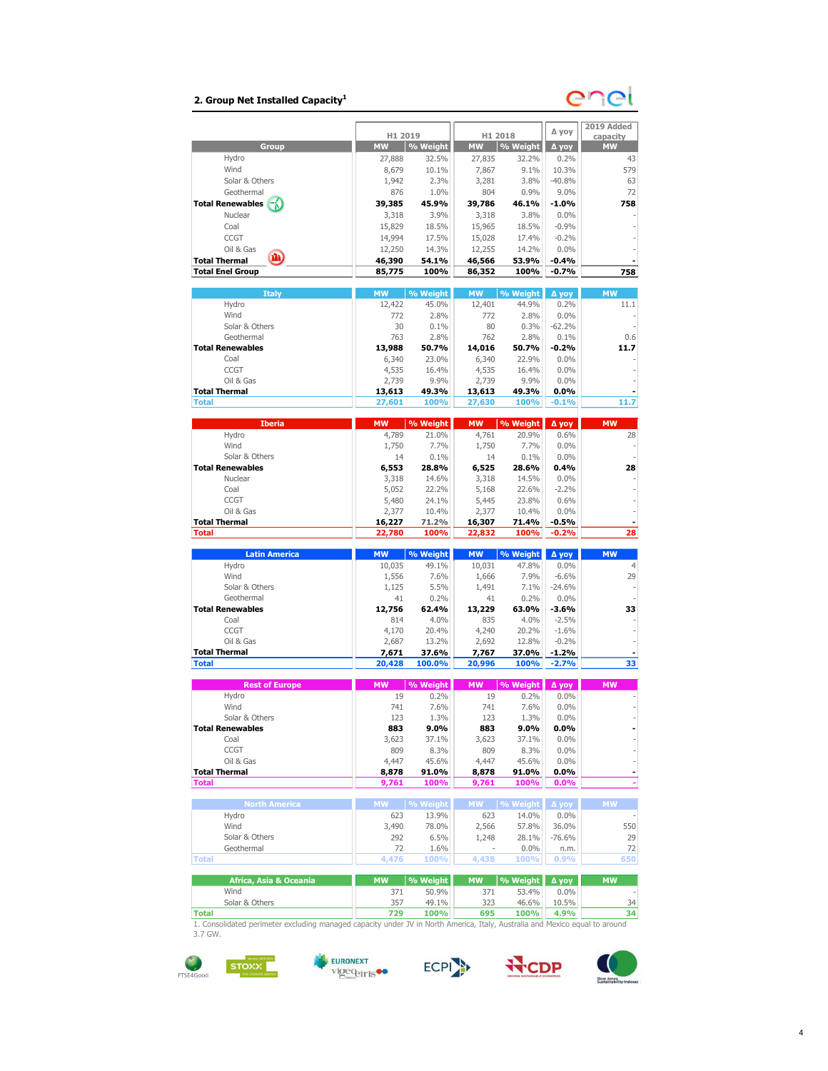# 2. Group Net Installed Capacity $^1$

# enet

|                                   |                  |                 |                  |               |                    | 2019 Added     |
|-----------------------------------|------------------|-----------------|------------------|---------------|--------------------|----------------|
|                                   | H1 2019          |                 |                  | H1 2018       | ∆ уоу              | capacity       |
| Group                             | <b>MW</b>        | % Weight        | <b>MW</b>        | % Weight      | ∆ уоу              | <b>MW</b>      |
| Hydro                             | 27,888           | 32.5%           | 27,835           | 32.2%         | 0.2%               | 43             |
| Wind                              | 8,679            | 10.1%           | 7,867            | 9.1%          | 10.3%              | 579            |
| Solar & Others                    | 1,942            | 2.3%            | 3,281            | 3.8%          | $-40.8%$           | 63             |
| Geothermal                        | 876              | 1.0%            | 804              | 0.9%          | 9.0%               | 72             |
| <b>Total Renewables</b>           | 39,385           | 45.9%           | 39,786           | 46.1%         | $-1.0%$            | 758            |
| Nuclear                           | 3,318            | 3.9%            | 3,318            | 3.8%          | 0.0%               |                |
| Coal                              | 15,829           | 18.5%           | 15,965           | 18.5%         | $-0.9%$            |                |
| <b>CCGT</b>                       | 14,994           | 17.5%           | 15,028           | 17.4%         | $-0.2%$            |                |
| Oil & Gas<br>m                    | 12,250           | 14.3%           | 12,255           | 14.2%         | 0.0%               |                |
| <b>Total Thermal</b>              | 46,390           | 54.1%           | 46,566           | 53.9%         | $-0.4%$            |                |
| <b>Total Enel Group</b>           | 85,775           | 100%            | 86,352           | 100%          | $-0.7%$            | 758            |
| <b>Italy</b>                      | <b>MW</b>        | % Weight        | <b>MW</b>        | % Weight      | ∆ уоу              | <b>MW</b>      |
| Hydro                             | 12,422           | 45.0%           | 12,401           | 44.9%         | 0.2%               | 11.1           |
| Wind                              | 772              | 2.8%            | 772              | 2.8%          | 0.0%               |                |
| Solar & Others                    | 30               | 0.1%            | 80               | 0.3%          | $-62.2%$           |                |
| Geothermal                        | 763              | 2.8%            | 762              | 2.8%          | 0.1%               | 0.6            |
| <b>Total Renewables</b>           | 13,988           | 50.7%           | 14,016           | 50.7%         | $-0.2%$            | 11.7           |
| Coal                              | 6,340            | 23.0%           | 6,340            | 22.9%         | 0.0%               |                |
| CCGT                              | 4,535            | 16.4%           | 4,535            | 16.4%         | 0.0%               |                |
| Oil & Gas                         | 2,739            | 9.9%            | 2,739            | 9.9%          | 0.0%               |                |
| <b>Total Thermal</b>              | 13,613           | 49.3%           | 13,613           | 49.3%         | $0.0\%$            |                |
| <b>Total</b>                      | 27,601           | 100%            | 27,630           | 100%          | $-0.1%$            | 11.7           |
|                                   |                  |                 |                  |               |                    |                |
| <b>Iberia</b>                     | <b>MW</b>        | % Weight        | <b>MW</b>        | % Weight      | ∆ уоу              | <b>MW</b>      |
| Hydro<br>Wind                     | 4,789<br>1,750   | 21.0%<br>7.7%   | 4,761<br>1,750   | 20.9%<br>7.7% | 0.6%<br>0.0%       | 28             |
| Solar & Others                    | 14               | 0.1%            | 14               | 0.1%          | 0.0%               |                |
| <b>Total Renewables</b>           | 6,553            | 28.8%           | 6,525            | 28.6%         | 0.4%               | 28             |
| Nuclear                           | 3,318            | 14.6%           | 3,318            | 14.5%         | 0.0%               |                |
| Coal                              | 5,052            | 22.2%           | 5,168            | 22.6%         | $-2.2%$            |                |
| <b>CCGT</b>                       | 5,480            | 24.1%           | 5,445            | 23.8%         | 0.6%               |                |
| Oil & Gas                         | 2,377            | 10.4%           | 2,377            | 10.4%         | 0.0%               |                |
| <b>Total Thermal</b>              |                  |                 |                  |               |                    |                |
|                                   |                  |                 |                  |               | $-0.5%$            |                |
| <b>Total</b>                      | 16,227<br>22,780 | 71.2%<br>100%   | 16,307<br>22,832 | 71.4%<br>100% | $-0.2%$            | 28             |
|                                   |                  |                 |                  |               |                    |                |
| <b>Latin America</b>              | <b>MW</b>        | % Weight        | <b>MW</b>        | % Weight      | Д уоу              | <b>MW</b>      |
| Hydro                             | 10,035           | 49.1%           | 10,031           | 47.8%         | 0.0%               | $\overline{4}$ |
| Wind                              | 1,556            | 7.6%            | 1,666            | 7.9%          | $-6.6%$            | 29             |
| Solar & Others                    | 1,125            | 5.5%            | 1,491            | 7.1%          | $-24.6%$           |                |
| Geothermal                        | 41               | 0.2%            | 41               | 0.2%          | 0.0%               |                |
| <b>Total Renewables</b>           | 12,756           | 62.4%           | 13,229           | 63.0%         | $-3.6%$            | 33             |
| Coal                              | 814              | 4.0%            | 835              | 4.0%          | $-2.5%$            |                |
| CCGT                              | 4,170            | 20.4%           | 4,240            | 20.2%         | $-1.6%$            |                |
| Oil & Gas<br><b>Total Thermal</b> | 2,687            | 13.2%           | 2,692            | 12.8%         | $-0.2%$            |                |
| <b>Total</b>                      | 7,671<br>20,428  | 37.6%<br>100.0% | 7,767<br>20,996  | 37.0%<br>100% | $-1.2%$<br>$-2.7%$ | 33             |
|                                   |                  |                 |                  |               |                    |                |
| <b>Rest of Europe</b>             | <b>MW</b>        | % Weight        | <b>MW</b>        | % Weight      | ∆ уоу              | <b>MW</b>      |
| Hydro                             | 19               | 0.2%            | 19               | 0.2%          | 0.0%               |                |
| Wind                              | 741              | 7.6%            | 741              | 7.6%          | 0.0%               |                |
| Solar & Others                    | 123              | 1.3%            | 123              | 1.3%          | 0.0%               |                |
| Total Renewables                  | 883              | $9.0\%$         | 883              | 9.0%          | 0.0%               |                |
| Coal                              | 3,623            | 37.1%           | 3,623            | 37.1%         | 0.0%               |                |
| CCGT                              | 809              | 8.3%            | 809              | 8.3%          | 0.0%               |                |
| Oil & Gas                         | 4,447            | 45.6%           | 4,447            | 45.6%         | 0.0%               |                |
| <b>Total Thermal</b>              | 8,878            | 91.0%           | 8,878            | 91.0%         | $0.0\%$            | ÷              |
| <b>Total</b>                      | 9,761            | 100%            | 9,761            | 100%          | 0.0%               |                |
| <b>North America</b>              | <b>MW</b>        | % Weight        | <b>MW</b>        | % Weight      | Д уоу              | <b>MW</b>      |
| Hydro                             | 623              | 13.9%           | 623              | 14.0%         | 0.0%               |                |
| Wind                              | 3,490            | 78.0%           | 2,566            | 57.8%         | 36.0%              | 550            |
| Solar & Others                    | 292              | 6.5%            | 1,248            | 28.1%         | $-76.6%$           | 29             |
| Geothermal                        | 72               | 1.6%            |                  | 0.0%          | n.m.               | 72             |
| <b>Total</b>                      | 4,476            | 100%            | 4,438            | 100%          | 0.9%               | 650            |
|                                   |                  |                 |                  |               |                    |                |
| Africa, Asia & Oceania            | <b>MW</b>        | % Weight        | <b>MW</b>        | % Weight      | A yoy              | <b>MW</b>      |
| Wind                              | 371              | 50.9%           | 371              | 53.4%         | 0.0%               |                |
| Solar & Others<br><b>Total</b>    | 357<br>729       | 49.1%<br>100%   | 323<br>695       | 46.6%<br>100% | 10.5%<br>4.9%      | 34<br>34       |

1. Consolidated perimeter excluding managed capacity under JV in North America, Italy, Australia and Mexico equal to around 3.7 GW.

![](_page_4_Picture_4.jpeg)

![](_page_4_Picture_5.jpeg)

![](_page_4_Picture_6.jpeg)

![](_page_4_Picture_7.jpeg)

RECDP

4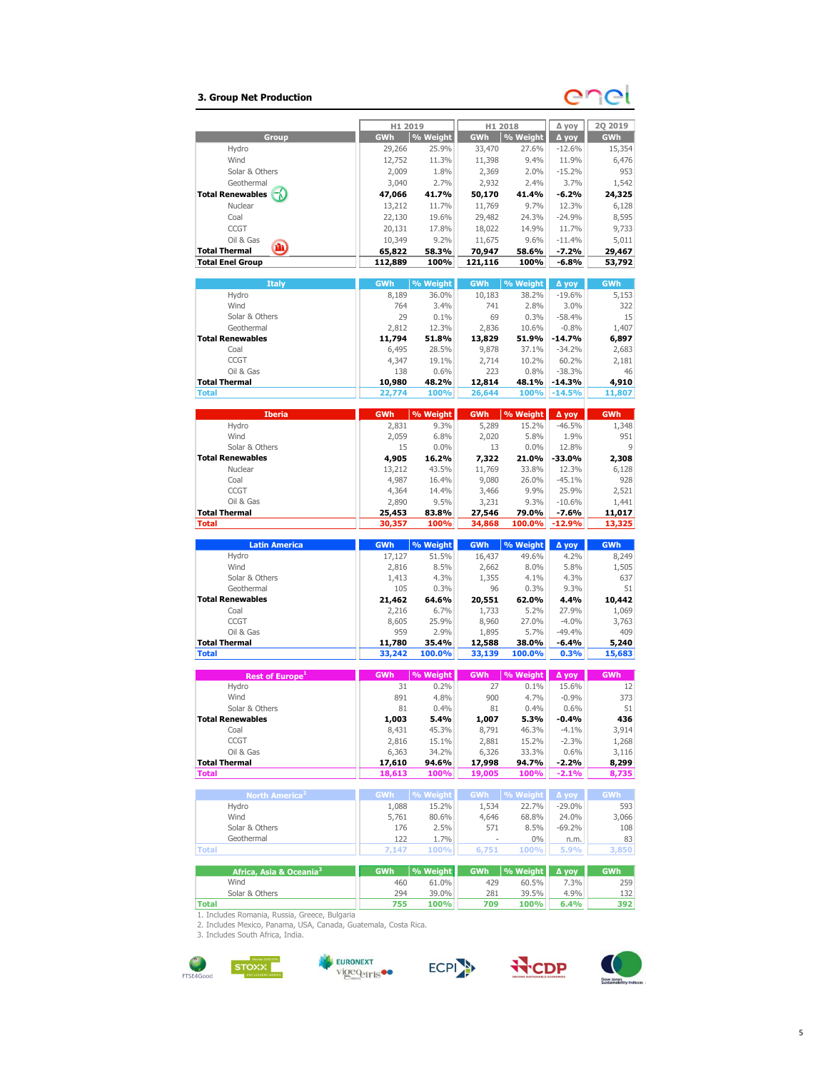# 3. Group Net Production

# en

|                                           | H1 2019         |                | H1 2018          |                | ∆ уоу             | <b>2Q 2019</b> |
|-------------------------------------------|-----------------|----------------|------------------|----------------|-------------------|----------------|
| Group                                     | GWh             | % Weight       | <b>GWh</b>       | % Weight       | Д уоу             | GWh            |
| Hydro                                     | 29,266          | 25.9%          | 33,470           | 27.6%          | $-12.6%$          | 15,354         |
| Wind                                      | 12,752          | 11.3%          | 11,398           | 9.4%           | 11.9%             | 6,476          |
| Solar & Others                            | 2,009           | 1.8%           | 2,369            | 2.0%           | $-15.2%$          | 953            |
| Geothermal                                | 3,040           | 2.7%           | 2,932            | 2.4%           | 3.7%              | 1,542          |
| <b>Total Renewables</b>                   | 47,066          | 41.7%          | 50,170           | 41.4%          | $-6.2%$           | 24,325         |
| Nuclear                                   | 13,212          | 11.7%          | 11,769           | 9.7%           | 12.3%             | 6,128          |
| Coal                                      | 22,130          | 19.6%          | 29,482           | 24.3%          | $-24.9%$          | 8,595          |
| <b>CCGT</b>                               | 20,131          | 17.8%          | 18,022           | 14.9%          | 11.7%             | 9,733          |
| Oil & Gas                                 | 10,349          | 9.2%           | 11,675           | 9.6%           | $-11.4%$          | 5,011          |
| m<br><b>Total Thermal</b>                 | 65,822          | 58.3%          | 70,947           | 58.6%          | $-7.2%$           | 29,467         |
| <b>Total Enel Group</b>                   | 112,889         | 100%           | 121,116          | 100%           | $-6.8%$           | 53,792         |
|                                           |                 |                |                  |                |                   |                |
| <b>Italy</b>                              | GWh             | % Weight       | <b>GWh</b>       | % Weight       | ∆ уоу             | <b>GWh</b>     |
| Hydro                                     | 8,189           | 36.0%          | 10,183           | 38.2%          | $-19.6%$          | 5,153          |
| Wind                                      | 764             | 3.4%           | 741              | 2.8%           | 3.0%              | 322            |
| Solar & Others                            | 29              | 0.1%           | 69               | 0.3%           | $-58.4%$          | 15             |
| Geothermal                                | 2,812           | 12.3%          | 2,836            | 10.6%          | $-0.8%$           | 1,407          |
| <b>Total Renewables</b>                   | 11,794          | 51.8%          | 13,829           | 51.9%          | $-14.7%$          | 6,897          |
| Coal                                      | 6,495           | 28.5%          | 9,878            | 37.1%          | $-34.2%$          | 2,683          |
| <b>CCGT</b>                               | 4,347           | 19.1%          | 2,714            | 10.2%          | 60.2%             | 2,181          |
| Oil & Gas                                 | 138             | 0.6%           | 223              | 0.8%           | $-38.3%$          | 46             |
| <b>Total Thermal</b>                      | 10,980          | 48.2%          | 12,814           | 48.1%          | $-14.3%$          | 4,910          |
| <b>Total</b>                              | 22,774          | 100%           | 26,644           | 100%           | $-14.5%$          | 11,807         |
|                                           |                 |                |                  |                |                   |                |
| <b>Iberia</b>                             | <b>GWh</b>      | % Weight       | <b>GWh</b>       | % Weight       | ∆ уоу             | GWh            |
| Hydro                                     | 2,831           | 9.3%           | 5,289            | 15.2%          | $-46.5%$          | 1,348          |
| Wind                                      | 2,059           | 6.8%           | 2,020            | 5.8%           | 1.9%              | 951            |
| Solar & Others<br><b>Total Renewables</b> | 15              | 0.0%           | 13               | 0.0%           | 12.8%             | 9              |
| Nuclear                                   | 4,905           | 16.2%          | 7,322            | 21.0%<br>33.8% | $-33.0%$          | 2,308          |
| Coal                                      | 13,212          | 43.5%          | 11,769           | 26.0%          | 12.3%             | 6,128<br>928   |
| <b>CCGT</b>                               | 4,987<br>4,364  | 16.4%<br>14.4% | 9,080<br>3,466   | 9.9%           | $-45.1%$<br>25.9% | 2,521          |
| Oil & Gas                                 | 2,890           | 9.5%           | 3,231            | 9.3%           | $-10.6%$          | 1,441          |
| <b>Total Thermal</b>                      | 25,453          | 83.8%          | 27,546           | 79.0%          | $-7.6%$           | 11,017         |
|                                           |                 |                |                  |                |                   |                |
|                                           |                 |                |                  |                |                   |                |
| <b>Total</b>                              | 30,357          | 100%           | 34,868           | 100.0%         | $-12.9%$          | 13,325         |
| <b>Latin America</b>                      | <b>GWh</b>      | % Weight       | <b>GWh</b>       | % Weight       | Д уоу             | <b>GWh</b>     |
| Hydro                                     | 17,127          | 51.5%          | 16,437           | 49.6%          | 4.2%              | 8,249          |
| Wind                                      | 2,816           | 8.5%           | 2,662            | 8.0%           | 5.8%              | 1,505          |
| Solar & Others                            | 1,413           | 4.3%           | 1,355            | 4.1%           | 4.3%              | 637            |
| Geothermal                                | 105             | 0.3%           | 96               | 0.3%           | 9.3%              | 51             |
| <b>Total Renewables</b>                   | 21,462          | 64.6%          | 20,551           | 62.0%          | 4.4%              | 10,442         |
| Coal                                      | 2,216           | 6.7%           | 1,733            | 5.2%           | 27.9%             | 1,069          |
| <b>CCGT</b>                               | 8,605           | 25.9%          | 8,960            | 27.0%          | $-4.0%$           | 3,763          |
| Oil & Gas                                 | 959             | 2.9%           | 1,895            | 5.7%           | $-49.4%$          | 409            |
| <b>Total Thermal</b>                      | 11,780          | 35.4%          | 12,588           | 38.0%          | $-6.4%$           | 5,240          |
| <b>Total</b>                              | 33,242          | 100.0%         | 33,139           | 100.0%         | 0.3%              | 15,683         |
|                                           |                 |                |                  |                |                   |                |
| Rest of Europe <sup>1</sup>               | GWh             | % Weight       | <b>GWh</b>       | % Weight       | ∆ уоу             | GWh            |
| Hydro                                     | 31              | 0.2%           | 27               | 0.1%           | 15.6%             | 12             |
| Wind                                      | 891             | 4.8%           | 900              | 4.7%           | $-0.9%$           | 373            |
| Solar & Others                            | 81              | 0.4%           | 81               | 0.4%           | 0.6%              | 51             |
| <b>Total Renewables</b>                   | 1,003           | 5.4%           | 1,007            | 5.3%           | $-0.4%$           | 436            |
| Coal                                      | 8,431           | 45.3%          | 8,791            | 46.3%          | $-4.1\%$          | 3,914          |
| CCGT                                      | 2,816           | 15.1%          | 2,881<br>6,326   | 15.2%          | $-2.3%$           | 1,268          |
| Oil & Gas<br><b>Total Thermal</b>         | 6,363<br>17,610 | 34.2%<br>94.6% |                  | 33.3%          | 0.6%<br>$-2.2%$   | 3,116          |
| <b>Total</b>                              | 18,613          | 100%           | 17,998<br>19,005 | 94.7%<br>100%  | $-2.1%$           | 8,299          |
|                                           |                 |                |                  |                |                   | 8,735          |
| North America <sup>2</sup>                | GWh  % Weight   |                | <b>GWh</b>       | % Weight       | ∆ уоу             | <b>GWh</b>     |
| Hydro                                     | 1,088           | 15.2%          | 1,534            | 22.7%          | $-29.0%$          | 593            |
| Wind                                      | 5,761           | 80.6%          | 4,646            | 68.8%          | 24.0%             | 3,066          |
| Solar & Others                            | 176             | 2.5%           | 571              | 8.5%           | $-69.2%$          | 108            |
| Geothermal                                | 122             | 1.7%           | ä,               | 0%             | n.m.              | 83             |
| <b>Total</b>                              | 7,147           | 100%           | 6,751            | 100%           | 5.9%              | 3,850          |
|                                           |                 |                |                  |                |                   |                |
| Africa, Asia & Oceania <sup>3</sup>       | <b>GWh</b>      | % Weight       | <b>GWh</b>       | % Weight       | Δ γογ             | <b>GWh</b>     |
| Wind<br>Solar & Others                    | 460<br>294      | 61.0%<br>39.0% | 429<br>281       | 60.5%<br>39.5% | 7.3%<br>4.9%      | 259<br>132     |

| <b>JUIGI &amp; ULICIS</b>                                       | 2.77 | <i>JJ.U 7</i> U | 401 |      | 7.771 | エコム |
|-----------------------------------------------------------------|------|-----------------|-----|------|-------|-----|
| <b>Total</b>                                                    | 755  | 100%            | 709 | 100% | 6.4%  | 392 |
| 1. Includes Romania, Russia, Greece, Bulgaria                   |      |                 |     |      |       |     |
| 2. Includes Mexico, Panama, USA, Canada, Guatemala, Costa Rica. |      |                 |     |      |       |     |
| 3. Includes South Africa, India.                                |      |                 |     |      |       |     |

![](_page_5_Picture_6.jpeg)

![](_page_5_Picture_7.jpeg)

![](_page_5_Picture_8.jpeg)

![](_page_5_Picture_9.jpeg)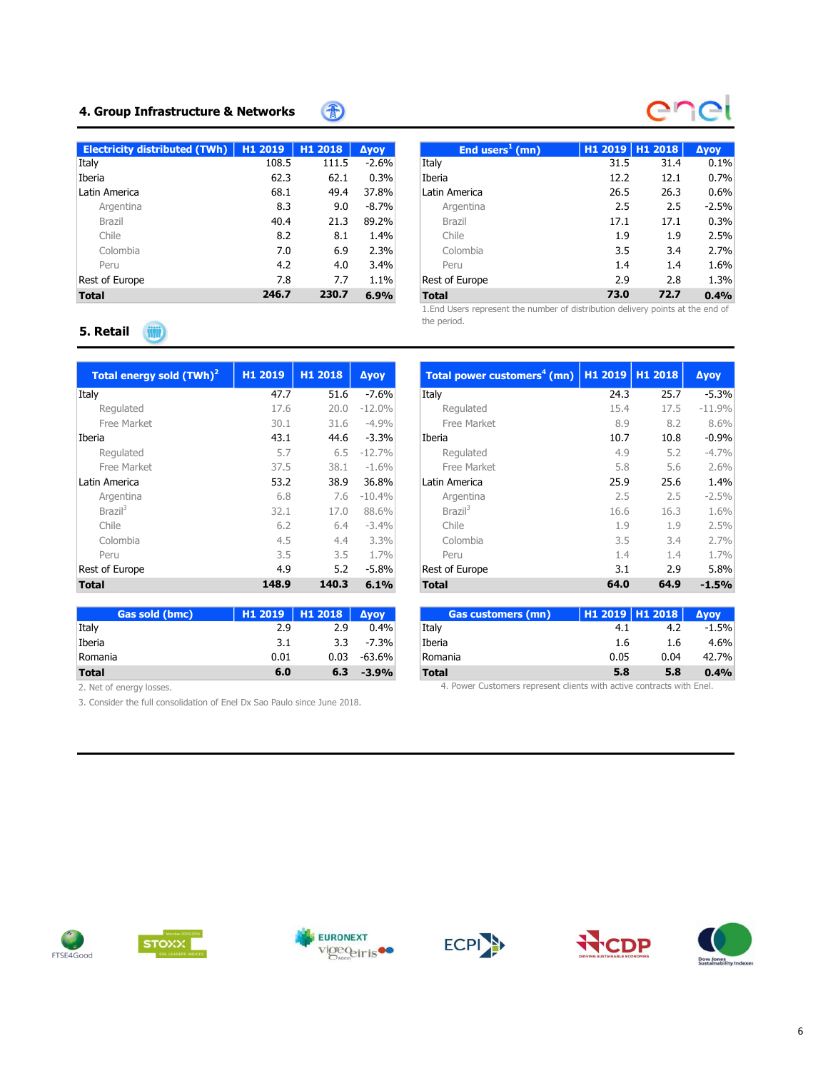# 4. Group Infrastructure & Networks

| Electricity distributed (TWh)   $H1 2019$ |       | H1 2018 | <b>Ayoy</b> | End users <sup>1</sup> (mn) | H1 2019 H1 2018 |      | Δyoγ    |
|-------------------------------------------|-------|---------|-------------|-----------------------------|-----------------|------|---------|
| Italy                                     | 108.5 | 111.5   | $-2.6%$     | Italy                       | 31.5            | 31.4 | 0.1%    |
| Iberia                                    | 62.3  | 62.1    | 0.3%        | Iberia                      | 12.2            | 12.1 | 0.7%    |
| Latin America                             | 68.1  | 49.4    | 37.8%       | Latin America               | 26.5            | 26.3 | 0.6%    |
| Argentina                                 | 8.3   | 9.0     | $-8.7\%$    | Argentina                   | 2.5             | 2.5  | $-2.5%$ |
| <b>Brazil</b>                             | 40.4  | 21.3    | 89.2%       | Brazil                      | 17.1            | 17.1 | 0.3%    |
| Chile                                     | 8.2   | 8.1     | 1.4%        | Chile                       | 1.9             | 1.9  | 2.5%    |
| Colombia                                  | 7.0   | 6.9     | 2.3%        | Colombia                    | 3.5             | 3.4  | 2.7%    |
| Peru                                      | 4.2   | 4.0     | 3.4%        | Peru                        | 1.4             | 1.4  | 1.6%    |
| Rest of Europe                            | 7.8   | 7.7     | 1.1%        | Rest of Europe              | 2.9             | 2.8  | 1.3%    |
| <b>Total</b>                              | 246.7 | 230.7   | 6.9%        | <b>Total</b>                | 73.0            | 72.7 | 0.4%    |

雷

# End users<sup>1</sup> (mn) End users<sup>1</sup> (mn) (mn) H1 2019 H1 2018 ∆yoy Argentina 8.3 9.0 -8.7% Argentina 2.5 2.5 -2.5% Brazil 40.4 21.3 89.2% Brazil 17.1 17.1 0.3% Chile 1.9 1.9 2.5% 8.2 8.1 1.4% Chile 1.9 1.9 2.5% Colombia 7.0 6.9 2.3% Colombia 3.5 3.4 2.7% Peru 4.2 4.0 3.4% Peru 1.4 1.4 1.6% Rest of Europe 7.9 2.9 2.8 1.3%

1.End Users represent the number of distribution delivery points at the end of the period.

#### 5. Retail **Will**

| Total energy sold (TWh) <sup>2</sup> | H1 2019 | H1 2018 | <b>Дуоу</b> | Total power customers <sup>4</sup> (mn)   H1 2019   H1 2018 |      |      | <b>Ayoy</b> |
|--------------------------------------|---------|---------|-------------|-------------------------------------------------------------|------|------|-------------|
| Italy                                | 47.7    | 51.6    | $-7.6%$     | Italy                                                       | 24.3 | 25.7 | $-5.3%$     |
| Regulated                            | 17.6    | 20.0    | $-12.0%$    | Regulated                                                   | 15.4 | 17.5 | $-11.9%$    |
| Free Market                          | 30.1    | 31.6    | $-4.9%$     | Free Market                                                 | 8.9  | 8.2  | 8.6%        |
| Iberia                               | 43.1    | 44.6    | $-3.3%$     | Iberia                                                      | 10.7 | 10.8 | $-0.9%$     |
| Regulated                            | 5.7     | 6.5     | $-12.7%$    | Regulated                                                   | 4.9  | 5.2  | $-4.7%$     |
| Free Market                          | 37.5    | 38.1    | $-1.6%$     | Free Market                                                 | 5.8  | 5.6  | 2.6%        |
| Latin America                        | 53.2    | 38.9    | 36.8%       | Latin America                                               | 25.9 | 25.6 | 1.4%        |
| Argentina                            | 6.8     | 7.6     | $-10.4%$    | Argentina                                                   | 2.5  | 2.5  | $-2.5%$     |
| Brazil <sup>3</sup>                  | 32.1    | 17.0    | 88.6%       | Brazil <sup>3</sup>                                         | 16.6 | 16.3 | 1.6%        |
| Chile                                | 6.2     | 6.4     | $-3.4%$     | Chile                                                       | 1.9  | 1.9  | 2.5%        |
| Colombia                             | 4.5     | 4.4     | 3.3%        | Colombia                                                    | 3.5  | 3.4  | 2.7%        |
| Peru                                 | 3.5     | 3.5     | 1.7%        | Peru                                                        | 1.4  | 1.4  | 1.7%        |
| Rest of Europe                       | 4.9     | 5.2     | $-5.8%$     | Rest of Europe                                              | 3.1  | 2.9  | 5.8%        |
| <b>Total</b>                         | 148.9   | 140.3   | 6.1%        | <b>Total</b>                                                | 64.0 | 64.9 | $-1.5%$     |

| <b>Gas sold (bmc)</b> | H1 2019 H1 2018 Avov |      |         | <b>Gas customers (mn)</b> |      | $H12019$ H1 2018 | <b>Avov</b> |
|-----------------------|----------------------|------|---------|---------------------------|------|------------------|-------------|
| Italy                 | 2.9                  | 2.9  | 0.4%    | Italy                     | 4.1  | 4.2              | $-1.5%$     |
| Iberia                | 3.1                  | 3.3  | $-7.3%$ | Iberia                    | 1.6  | 1.6              | 4.6%        |
| Romania               | 0.01                 | 0.03 | -63.6%  | Romania                   | 0.05 | 0.04             | 42.7%       |
| <b>Total</b>          | 6.0                  | 6.3  | $-3.9%$ | <b>Total</b>              | 5.8  | 5.8              | 0.4%        |

2. Net of energy losses.

3. Consider the full consolidation of Enel Dx Sao Paulo since June 2018.

| otal energy sold (TWh) <sup>2</sup> | H1 2019 | H1 2018 | <b>Дуоу</b> | Total power customers <sup>4</sup> (mn)   H1 2019   H1 2018 |      |      | <b>Дуоу</b> |
|-------------------------------------|---------|---------|-------------|-------------------------------------------------------------|------|------|-------------|
|                                     | 47.7    | 51.6    | $-7.6%$     | Italy                                                       | 24.3 | 25.7 | $-5.3%$     |
| Regulated                           | 17.6    | 20.0    | $-12.0%$    | Regulated                                                   | 15.4 | 17.5 | $-11.9%$    |
| Free Market                         | 30.1    | 31.6    | $-4.9%$     | Free Market                                                 | 8.9  | 8.2  | 8.6%        |
| a                                   | 43.1    | 44.6    | $-3.3%$     | Iberia                                                      | 10.7 | 10.8 | $-0.9%$     |
| Regulated                           | 5.7     | 6.5     | $-12.7%$    | Regulated                                                   | 4.9  | 5.2  | $-4.7%$     |
| Free Market                         | 37.5    | 38.1    | $-1.6%$     | Free Market                                                 | 5.8  | 5.6  | 2.6%        |
| America                             | 53.2    | 38.9    | 36.8%       | Latin America                                               | 25.9 | 25.6 | 1.4%        |
| Argentina                           | 6.8     | 7.6     | $-10.4%$    | Argentina                                                   | 2.5  | 2.5  | $-2.5%$     |
| Brazil <sup>3</sup>                 | 32.1    | 17.0    | 88.6%       | Brazil <sup>3</sup>                                         | 16.6 | 16.3 | 1.6%        |
| Chile                               | 6.2     | 6.4     | $-3.4%$     | Chile                                                       | 1.9  | 1.9  | 2.5%        |
| Colombia                            | 4.5     | 4.4     | 3.3%        | Colombia                                                    | 3.5  | 3.4  | 2.7%        |
| Peru                                | 3.5     | 3.5     | 1.7%        | Peru                                                        | 1.4  | 1.4  | 1.7%        |
| of Europe                           | 4.9     | 5.2     | $-5.8\%$    | Rest of Europe                                              | 3.1  | 2.9  | 5.8%        |
|                                     | 148.9   | 140.3   | 6.1%        | <b>Total</b>                                                | 64.0 | 64.9 | $-1.5%$     |

| Gas sold (bmc) |      | H <sub>1</sub> 2019   H <sub>1</sub> 2018   Δγογ |          | <b>Gas customers (mn)</b> | $H12019$ H1 2018 |      | <b>Avov</b> |
|----------------|------|--------------------------------------------------|----------|---------------------------|------------------|------|-------------|
|                | 2.9  | 2.9                                              | 0.4%     | Italy                     | 4.1              | 4.2  | $-1.5%$     |
|                | 3.1  | 3.3                                              | $-7.3%$  | Iberia                    | 1.6              | 1.6  | 4.6%        |
|                | 0.01 | 0.03                                             | $-63.6%$ | Romania                   | 0.05             | 0.04 | 42.7%       |
|                | 6.0  | 6.3                                              | $-3.9%$  | <b>Total</b>              | 5.8              | 5.8  | 0.4%        |

4. Power Customers represent clients with active contracts with Enel.

![](_page_6_Picture_12.jpeg)

![](_page_6_Picture_13.jpeg)

![](_page_6_Picture_14.jpeg)

![](_page_6_Picture_15.jpeg)

![](_page_6_Picture_16.jpeg)

![](_page_6_Picture_17.jpeg)